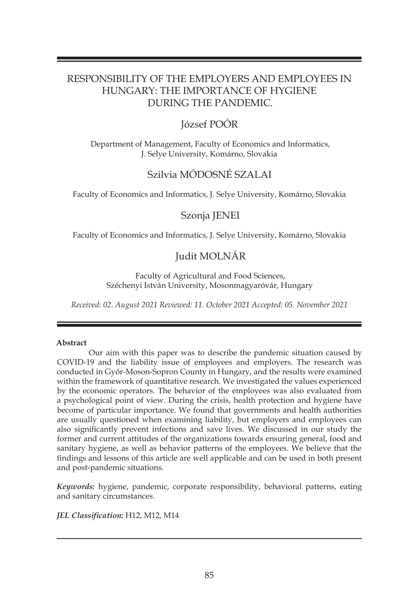## RESPONSIBILITY OF THE EMPLOYERS AND EMPLOYEES IN HUNGARY: THE IMPORTANCE OF HYGIENE DURING THE PANDEMIC.

## József POÓR

Department of Management, Faculty of Economics and Informatics, J. Selye University, Komárno, Slovakia

# Szilvia MÓDOSNÉ SZALAI

Faculty of Economics and Informatics, J. Selye University, Komárno, Slovakia

## Szonja JENEI

Faculty of Economics and Informatics, J. Selye University, Komárno, Slovakia

## Judit MOLNÁR

Faculty of Agricultural and Food Sciences, Széchenyi István University, Mosonmagyaróvár, Hungary

*Received: 02. August 2021 Reviewed: 11. October 2021 Accepted: 05. November 2021*

### **Abstract**

 Our aim with this paper was to describe the pandemic situation caused by COVID-19 and the liability issue of employees and employers. The research was conducted in Győr-Moson-Sopron County in Hungary, and the results were examined within the framework of quantitative research. We investigated the values experienced by the economic operators. The behavior of the employees was also evaluated from a psychological point of view. During the crisis, health protection and hygiene have become of particular importance. We found that governments and health authorities are usually questioned when examining liability, but employers and employees can also significantly prevent infections and save lives. We discussed in our study the former and current attitudes of the organizations towards ensuring general, food and sanitary hygiene, as well as behavior patterns of the employees. We believe that the findings and lessons of this article are well applicable and can be used in both present and post-pandemic situations.

*Keywords:* hygiene, pandemic, corporate responsibility, behavioral patterns, eating and sanitary circumstances.

*JEL Classification:* H12, M12, M14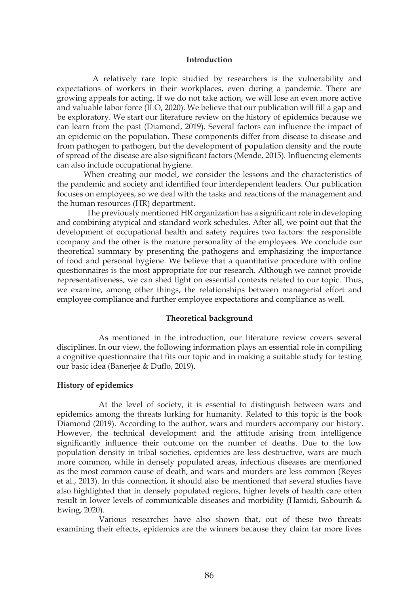#### **Introduction**

A relatively rare topic studied by researchers is the vulnerability and expectations of workers in their workplaces, even during a pandemic. There are growing appeals for acting. If we do not take action, we will lose an even more active and valuable labor force (ILO, 2020). We believe that our publication will fill a gap and be exploratory. We start our literature review on the history of epidemics because we can learn from the past (Diamond, 2019). Several factors can influence the impact of an epidemic on the population. These components differ from disease to disease and from pathogen to pathogen, but the development of population density and the route of spread of the disease are also significant factors (Mende, 2015). Influencing elements can also include occupational hygiene.

 When creating our model, we consider the lessons and the characteristics of the pandemic and society and identified four interdependent leaders. Our publication focuses on employees, so we deal with the tasks and reactions of the management and the human resources (HR) department.

 The previously mentioned HR organization has a significant role in developing and combining atypical and standard work schedules. After all, we point out that the development of occupational health and safety requires two factors: the responsible company and the other is the mature personality of the employees. We conclude our theoretical summary by presenting the pathogens and emphasizing the importance of food and personal hygiene. We believe that a quantitative procedure with online questionnaires is the most appropriate for our research. Although we cannot provide representativeness, we can shed light on essential contexts related to our topic. Thus, we examine, among other things, the relationships between managerial effort and employee compliance and further employee expectations and compliance as well.

## **Theoretical background**

As mentioned in the introduction, our literature review covers several disciplines. In our view, the following information plays an essential role in compiling a cognitive questionnaire that fits our topic and in making a suitable study for testing our basic idea (Banerjee & Duflo, 2019).

#### **History of epidemics**

At the level of society, it is essential to distinguish between wars and epidemics among the threats lurking for humanity. Related to this topic is the book Diamond (2019). According to the author, wars and murders accompany our history. However, the technical development and the attitude arising from intelligence significantly influence their outcome on the number of deaths. Due to the low population density in tribal societies, epidemics are less destructive, wars are much more common, while in densely populated areas, infectious diseases are mentioned as the most common cause of death, and wars and murders are less common (Reyes et al., 2013). In this connection, it should also be mentioned that several studies have also highlighted that in densely populated regions, higher levels of health care often result in lower levels of communicable diseases and morbidity (Hamidi, Sabourih & Ewing, 2020).

Various researches have also shown that, out of these two threats examining their effects, epidemics are the winners because they claim far more lives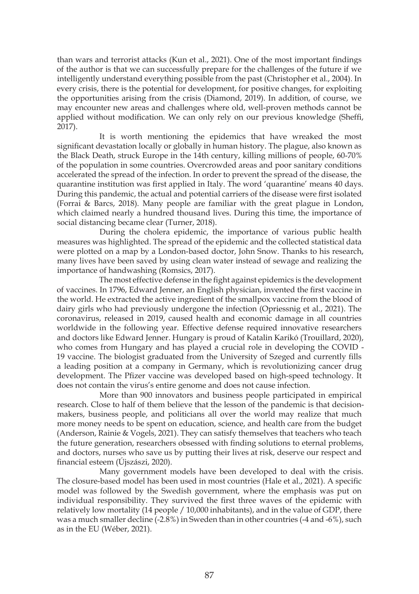than wars and terrorist attacks (Kun et al., 2021). One of the most important findings of the author is that we can successfully prepare for the challenges of the future if we intelligently understand everything possible from the past (Christopher et al., 2004). In every crisis, there is the potential for development, for positive changes, for exploiting the opportunities arising from the crisis (Diamond, 2019). In addition, of course, we may encounter new areas and challenges where old, well-proven methods cannot be applied without modification. We can only rely on our previous knowledge (Sheffi, 2017).

It is worth mentioning the epidemics that have wreaked the most significant devastation locally or globally in human history. The plague, also known as the Black Death, struck Europe in the 14th century, killing millions of people, 60-70% of the population in some countries. Overcrowded areas and poor sanitary conditions accelerated the spread of the infection. In order to prevent the spread of the disease, the quarantine institution was first applied in Italy. The word 'quarantine' means 40 days. During this pandemic, the actual and potential carriers of the disease were first isolated (Forrai & Barcs, 2018). Many people are familiar with the great plague in London, which claimed nearly a hundred thousand lives. During this time, the importance of social distancing became clear (Turner, 2018).

During the cholera epidemic, the importance of various public health measures was highlighted. The spread of the epidemic and the collected statistical data were plotted on a map by a London-based doctor, John Snow. Thanks to his research, many lives have been saved by using clean water instead of sewage and realizing the importance of handwashing (Romsics, 2017).

The most effective defense in the fight against epidemics is the development of vaccines. In 1796, Edward Jenner, an English physician, invented the first vaccine in the world. He extracted the active ingredient of the smallpox vaccine from the blood of dairy girls who had previously undergone the infection (Opriessnig et al., 2021). The coronavirus, released in 2019, caused health and economic damage in all countries worldwide in the following year. Effective defense required innovative researchers and doctors like Edward Jenner. Hungary is proud of Katalin Karikó (Trouillard, 2020), who comes from Hungary and has played a crucial role in developing the COVID - 19 vaccine. The biologist graduated from the University of Szeged and currently fills a leading position at a company in Germany, which is revolutionizing cancer drug development. The Pfizer vaccine was developed based on high-speed technology. It does not contain the virus's entire genome and does not cause infection.

More than 900 innovators and business people participated in empirical research. Close to half of them believe that the lesson of the pandemic is that decisionmakers, business people, and politicians all over the world may realize that much more money needs to be spent on education, science, and health care from the budget (Anderson, Rainie & Vogels, 2021). They can satisfy themselves that teachers who teach the future generation, researchers obsessed with finding solutions to eternal problems, and doctors, nurses who save us by putting their lives at risk, deserve our respect and financial esteem (Újszászi, 2020).

Many government models have been developed to deal with the crisis. The closure-based model has been used in most countries (Hale et al., 2021). A specific model was followed by the Swedish government, where the emphasis was put on individual responsibility. They survived the first three waves of the epidemic with relatively low mortality (14 people / 10,000 inhabitants), and in the value of GDP, there was a much smaller decline (-2.8%) in Sweden than in other countries (-4 and -6%), such as in the EU (Wéber, 2021).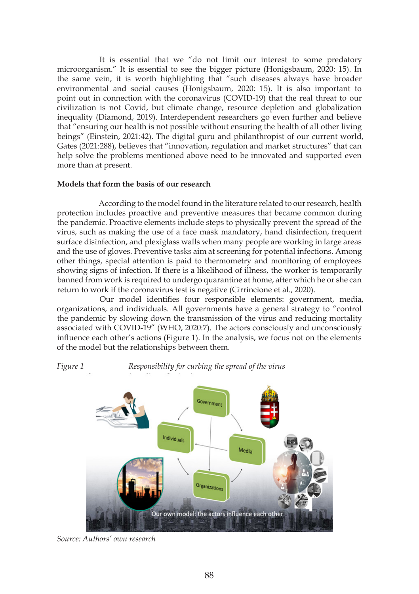It is essential that we "do not limit our interest to some predatory microorganism." It is essential to see the bigger picture (Honigsbaum, 2020: 15). In the same vein, it is worth highlighting that "such diseases always have broader environmental and social causes (Honigsbaum, 2020: 15). It is also important to point out in connection with the coronavirus (COVID-19) that the real threat to our civilization is not Covid, but climate change, resource depletion and globalization inequality (Diamond, 2019). Interdependent researchers go even further and believe that "ensuring our health is not possible without ensuring the health of all other living beings" (Einstein, 2021:42). The digital guru and philanthropist of our current world, Gates (2021:288), believes that "innovation, regulation and market structures" that can help solve the problems mentioned above need to be innovated and supported even more than at present.

#### **Models that form the basis of our research**

According to the model found in the literature related to our research, health protection includes proactive and preventive measures that became common during the pandemic. Proactive elements include steps to physically prevent the spread of the virus, such as making the use of a face mask mandatory, hand disinfection, frequent surface disinfection, and plexiglass walls when many people are working in large areas and the use of gloves. Preventive tasks aim at screening for potential infections. Among other things, special attention is paid to thermometry and monitoring of employees showing signs of infection. If there is a likelihood of illness, the worker is temporarily banned from work is required to undergo quarantine at home, after which he or she can return to work if the coronavirus test is negative (Cirrincione et al., 2020).

Our model identifies four responsible elements: government, media, organizations, and individuals. All governments have a general strategy to "control the pandemic by slowing down the transmission of the virus and reducing mortality associated with COVID-19" (WHO, 2020:7). The actors consciously and unconsciously influence each other's actions (Figure 1). In the analysis, we focus not on the elements of the model but the relationships between them.

## *Figure 1 Responsibility for curbing the spread of the virus*



*Source: Authors' own research*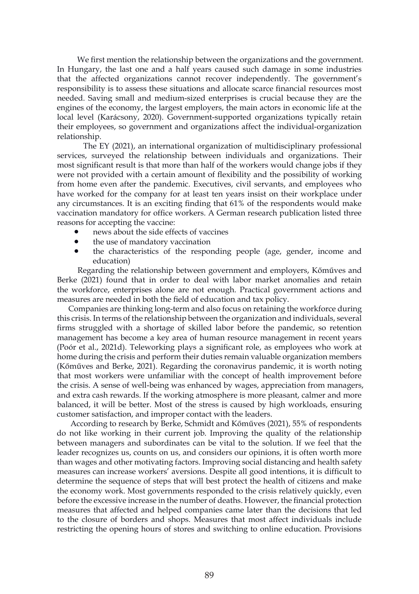We first mention the relationship between the organizations and the government. In Hungary, the last one and a half years caused such damage in some industries that the affected organizations cannot recover independently. The government's responsibility is to assess these situations and allocate scarce financial resources most needed. Saving small and medium-sized enterprises is crucial because they are the engines of the economy, the largest employers, the main actors in economic life at the local level (Karácsony, 2020). Government-supported organizations typically retain their employees, so government and organizations affect the individual-organization relationship.

 The EY (2021), an international organization of multidisciplinary professional services, surveyed the relationship between individuals and organizations. Their most significant result is that more than half of the workers would change jobs if they were not provided with a certain amount of flexibility and the possibility of working from home even after the pandemic. Executives, civil servants, and employees who have worked for the company for at least ten years insist on their workplace under any circumstances. It is an exciting finding that 61% of the respondents would make vaccination mandatory for office workers. A German research publication listed three reasons for accepting the vaccine:

- news about the side effects of vaccines
- the use of mandatory vaccination
- the characteristics of the responding people (age, gender, income and education)

 Regarding the relationship between government and employers, Kőműves and Berke (2021) found that in order to deal with labor market anomalies and retain the workforce, enterprises alone are not enough. Practical government actions and measures are needed in both the field of education and tax policy.

 Companies are thinking long-term and also focus on retaining the workforce during this crisis. In terms of the relationship between the organization and individuals, several firms struggled with a shortage of skilled labor before the pandemic, so retention management has become a key area of human resource management in recent years (Poór et al., 2021d). Teleworking plays a significant role, as employees who work at home during the crisis and perform their duties remain valuable organization members (Kőműves and Berke, 2021). Regarding the coronavirus pandemic, it is worth noting that most workers were unfamiliar with the concept of health improvement before the crisis. A sense of well-being was enhanced by wages, appreciation from managers, and extra cash rewards. If the working atmosphere is more pleasant, calmer and more balanced, it will be better. Most of the stress is caused by high workloads, ensuring customer satisfaction, and improper contact with the leaders.

 According to research by Berke, Schmidt and Kőműves (2021), 55% of respondents do not like working in their current job. Improving the quality of the relationship between managers and subordinates can be vital to the solution. If we feel that the leader recognizes us, counts on us, and considers our opinions, it is often worth more than wages and other motivating factors. Improving social distancing and health safety measures can increase workers' aversions. Despite all good intentions, it is difficult to determine the sequence of steps that will best protect the health of citizens and make the economy work. Most governments responded to the crisis relatively quickly, even before the excessive increase in the number of deaths. However, the financial protection measures that affected and helped companies came later than the decisions that led to the closure of borders and shops. Measures that most affect individuals include restricting the opening hours of stores and switching to online education. Provisions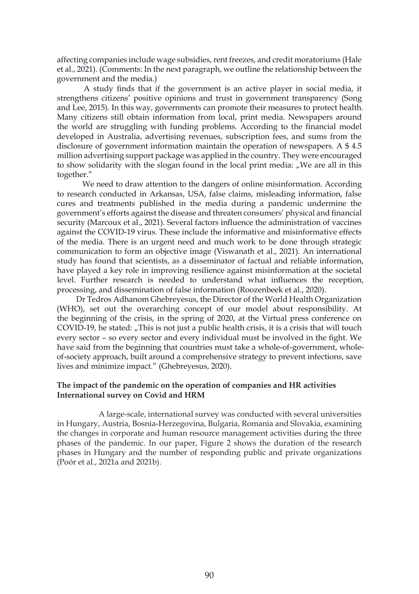affecting companies include wage subsidies, rent freezes, and credit moratoriums (Hale et al., 2021). (Comments: In the next paragraph, we outline the relationship between the government and the media.)

 A study finds that if the government is an active player in social media, it strengthens citizens' positive opinions and trust in government transparency (Song and Lee, 2015). In this way, governments can promote their measures to protect health. Many citizens still obtain information from local, print media. Newspapers around the world are struggling with funding problems. According to the financial model developed in Australia, advertising revenues, subscription fees, and sums from the disclosure of government information maintain the operation of newspapers. A \$ 4.5 million advertising support package was applied in the country. They were encouraged to show solidarity with the slogan found in the local print media: "We are all in this together."

 We need to draw attention to the dangers of online misinformation. According to research conducted in Arkansas, USA, false claims, misleading information, false cures and treatments published in the media during a pandemic undermine the government's efforts against the disease and threaten consumers' physical and financial security (Marcoux et al., 2021). Several factors influence the administration of vaccines against the COVID-19 virus. These include the informative and misinformative effects of the media. There is an urgent need and much work to be done through strategic communication to form an objective image (Viswanath et al., 2021). An international study has found that scientists, as a disseminator of factual and reliable information, have played a key role in improving resilience against misinformation at the societal level. Further research is needed to understand what influences the reception, processing, and dissemination of false information (Roozenbeek et al., 2020).

 Dr Tedros Adhanom Ghebreyesus, the Director of the World Health Organization (WHO), set out the overarching concept of our model about responsibility. At the beginning of the crisis, in the spring of 2020, at the Virtual press conference on COVID-19, he stated: "This is not just a public health crisis, it is a crisis that will touch every sector – so every sector and every individual must be involved in the fight. We have said from the beginning that countries must take a whole-of-government, wholeof-society approach, built around a comprehensive strategy to prevent infections, save lives and minimize impact." (Ghebreyesus, 2020).

## **The impact of the pandemic on the operation of companies and HR activities International survey on Covid and HRM**

A large-scale, international survey was conducted with several universities in Hungary, Austria, Bosnia-Herzegovina, Bulgaria, Romania and Slovakia, examining the changes in corporate and human resource management activities during the three phases of the pandemic. In our paper, Figure 2 shows the duration of the research phases in Hungary and the number of responding public and private organizations (Poór et al., 2021a and 2021b).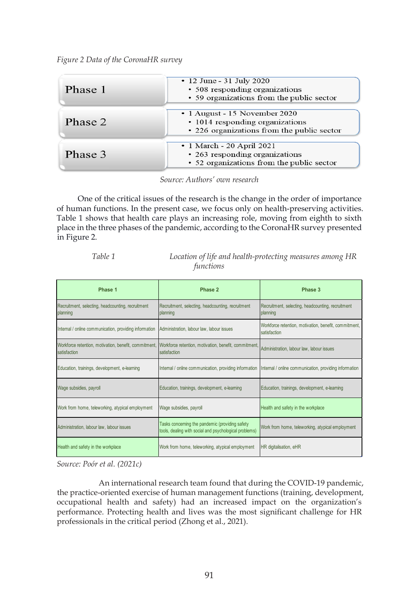*Figure 2 Data of the CoronaHR survey*

| Phase 1 | • 12 June - 31 July 2020<br>• 508 responding organizations<br>• 59 organizations from the public sector        |  |
|---------|----------------------------------------------------------------------------------------------------------------|--|
| Phase 2 | • 1 August - 15 November 2020<br>• 1014 responding organizations<br>• 226 organizations from the public sector |  |
| Phase 3 | • 1 March - 20 April 2021<br>• 263 responding organizations<br>• 52 organizations from the public sector       |  |

*Source: Authors' own research*

 One of the critical issues of the research is the change in the order of importance of human functions. In the present case, we focus only on health-preserving activities. Table 1 shows that health care plays an increasing role, moving from eighth to sixth place in the three phases of the pandemic, according to the CoronaHR survey presented in Figure 2.

| Phase 1                                                                                                                     | Phase 2                                                                                                   | Phase 3                                                               |
|-----------------------------------------------------------------------------------------------------------------------------|-----------------------------------------------------------------------------------------------------------|-----------------------------------------------------------------------|
| Recruitment, selecting, headcounting, recruitment<br>planning                                                               | Recruitment, selecting, headcounting, recruitment<br>planning                                             | Recruitment, selecting, headcounting, recruitment<br>planning         |
| Internal / online communication, providing information                                                                      | Administration, labour law, labour issues                                                                 | Workforce retention, motivation, benefit, commitment,<br>satisfaction |
| Workforce retention, motivation, benefit, commitment, Workforce retention, motivation, benefit, commitment,<br>satisfaction | satisfaction                                                                                              | Administration, labour law, labour issues                             |
| Education, trainings, development, e-learning                                                                               | Internal / online communication, providing information                                                    | Internal / online communication, providing information                |
| Wage subsidies, payroll                                                                                                     | Education, trainings, development, e-learning                                                             | Education, trainings, development, e-learning                         |
| Work from home, teleworking, atypical employment                                                                            | Wage subsidies, payroll                                                                                   | Health and safety in the workplace                                    |
| Administration, labour law, labour issues                                                                                   | Tasks concerning the pandemic (providing safety<br>tools, dealing with social and psychological problems) | Work from home, teleworking, atypical employment                      |
| Health and safety in the workplace                                                                                          | Work from home, teleworking, atypical employment                                                          | HR digitalisation, eHR                                                |

*Table 1 Location of life and health-protecting measures among HR functions*

*Source: Poór et al. (2021c)*

An international research team found that during the COVID-19 pandemic, the practice-oriented exercise of human management functions (training, development, occupational health and safety) had an increased impact on the organization's performance. Protecting health and lives was the most significant challenge for HR professionals in the critical period (Zhong et al., 2021).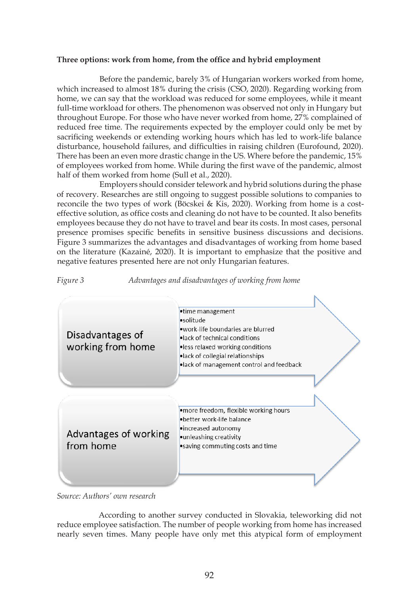#### **Three options: work from home, from the office and hybrid employment**

Before the pandemic, barely 3% of Hungarian workers worked from home, which increased to almost 18% during the crisis (CSO, 2020). Regarding working from home, we can say that the workload was reduced for some employees, while it meant full-time workload for others. The phenomenon was observed not only in Hungary but throughout Europe. For those who have never worked from home, 27% complained of reduced free time. The requirements expected by the employer could only be met by sacrificing weekends or extending working hours which has led to work-life balance disturbance, household failures, and difficulties in raising children (Eurofound, 2020). There has been an even more drastic change in the US. Where before the pandemic, 15% of employees worked from home. While during the first wave of the pandemic, almost half of them worked from home (Sull et al., 2020).

Employers should consider telework and hybrid solutions during the phase of recovery. Researches are still ongoing to suggest possible solutions to companies to reconcile the two types of work (Böcskei & Kis, 2020). Working from home is a costeffective solution, as office costs and cleaning do not have to be counted. It also benefits employees because they do not have to travel and bear its costs. In most cases, personal presence promises specific benefits in sensitive business discussions and decisions. Figure 3 summarizes the advantages and disadvantages of working from home based on the literature (Kazainé, 2020). It is important to emphasize that the positive and negative features presented here are not only Hungarian features.





*Source: Authors' own research*

According to another survey conducted in Slovakia, teleworking did not reduce employee satisfaction. The number of people working from home has increased nearly seven times. Many people have only met this atypical form of employment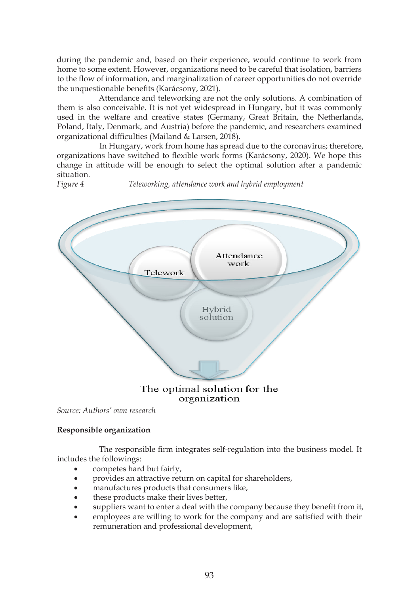during the pandemic and, based on their experience, would continue to work from home to some extent. However, organizations need to be careful that isolation, barriers to the flow of information, and marginalization of career opportunities do not override the unquestionable benefits (Karácsony, 2021).

Attendance and teleworking are not the only solutions. A combination of them is also conceivable. It is not yet widespread in Hungary, but it was commonly used in the welfare and creative states (Germany, Great Britain, the Netherlands, Poland, Italy, Denmark, and Austria) before the pandemic, and researchers examined organizational difficulties (Mailand & Larsen, 2018).

In Hungary, work from home has spread due to the coronavirus; therefore, organizations have switched to flexible work forms (Karácsony, 2020). We hope this change in attitude will be enough to select the optimal solution after a pandemic situation.<br>Figure 4

*Figure 4 Teleworking, attendance work and hybrid employment*



# organization

*Source: Authors' own research*

## **Responsible organization**

The responsible firm integrates self-regulation into the business model. It includes the followings:

- competes hard but fairly,
- provides an attractive return on capital for shareholders,
- manufactures products that consumers like,
- these products make their lives better,
- suppliers want to enter a deal with the company because they benefit from it,
- employees are willing to work for the company and are satisfied with their remuneration and professional development,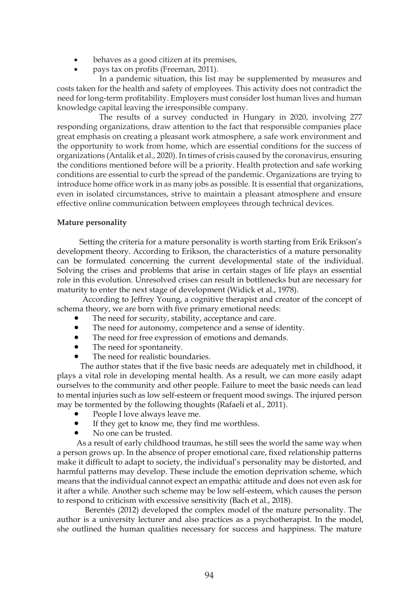- behaves as a good citizen at its premises.
- pays tax on profits (Freeman, 2011).

In a pandemic situation, this list may be supplemented by measures and costs taken for the health and safety of employees. This activity does not contradict the need for long-term profitability. Employers must consider lost human lives and human knowledge capital leaving the irresponsible company.

The results of a survey conducted in Hungary in 2020, involving 277 responding organizations, draw attention to the fact that responsible companies place great emphasis on creating a pleasant work atmosphere, a safe work environment and the opportunity to work from home, which are essential conditions for the success of organizations (Antalik et al., 2020). In times of crisis caused by the coronavirus, ensuring the conditions mentioned before will be a priority. Health protection and safe working conditions are essential to curb the spread of the pandemic. Organizations are trying to introduce home office work in as many jobs as possible. It is essential that organizations, even in isolated circumstances, strive to maintain a pleasant atmosphere and ensure effective online communication between employees through technical devices.

### **Mature personality**

 Setting the criteria for a mature personality is worth starting from Erik Erikson's development theory. According to Erikson, the characteristics of a mature personality can be formulated concerning the current developmental state of the individual. Solving the crises and problems that arise in certain stages of life plays an essential role in this evolution. Unresolved crises can result in bottlenecks but are necessary for maturity to enter the next stage of development (Widick et al., 1978).

 According to Jeffrey Young, a cognitive therapist and creator of the concept of schema theory, we are born with five primary emotional needs:

- The need for security, stability, acceptance and care.
- The need for autonomy, competence and a sense of identity.
- The need for free expression of emotions and demands.
- The need for spontaneity.
- The need for realistic boundaries.

 The author states that if the five basic needs are adequately met in childhood, it plays a vital role in developing mental health. As a result, we can more easily adapt ourselves to the community and other people. Failure to meet the basic needs can lead to mental injuries such as low self-esteem or frequent mood swings. The injured person may be tormented by the following thoughts (Rafaeli et al., 2011).

- People I love always leave me.
- If they get to know me, they find me worthless.
- No one can be trusted.

 As a result of early childhood traumas, he still sees the world the same way when a person grows up. In the absence of proper emotional care, fixed relationship patterns make it difficult to adapt to society, the individual's personality may be distorted, and harmful patterns may develop. These include the emotion deprivation scheme, which means that the individual cannot expect an empathic attitude and does not even ask for it after a while. Another such scheme may be low self-esteem, which causes the person to respond to criticism with excessive sensitivity (Bach et al., 2018).

 Berentés (2012) developed the complex model of the mature personality. The author is a university lecturer and also practices as a psychotherapist. In the model, she outlined the human qualities necessary for success and happiness. The mature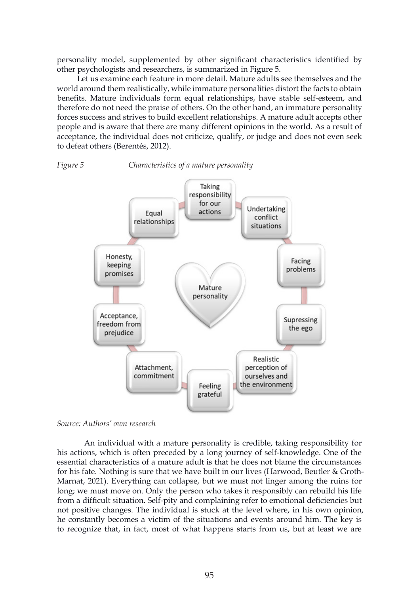personality model, supplemented by other significant characteristics identified by other psychologists and researchers, is summarized in Figure 5.

 Let us examine each feature in more detail. Mature adults see themselves and the world around them realistically, while immature personalities distort the facts to obtain benefits. Mature individuals form equal relationships, have stable self-esteem, and therefore do not need the praise of others. On the other hand, an immature personality forces success and strives to build excellent relationships. A mature adult accepts other people and is aware that there are many different opinions in the world. As a result of acceptance, the individual does not criticize, qualify, or judge and does not even seek to defeat others (Berentés, 2012).





*Source: Authors' own research*

 An individual with a mature personality is credible, taking responsibility for his actions, which is often preceded by a long journey of self-knowledge. One of the essential characteristics of a mature adult is that he does not blame the circumstances for his fate. Nothing is sure that we have built in our lives (Harwood, Beutler & Groth-Marnat, 2021). Everything can collapse, but we must not linger among the ruins for long; we must move on. Only the person who takes it responsibly can rebuild his life from a difficult situation. Self-pity and complaining refer to emotional deficiencies but not positive changes. The individual is stuck at the level where, in his own opinion, he constantly becomes a victim of the situations and events around him. The key is to recognize that, in fact, most of what happens starts from us, but at least we are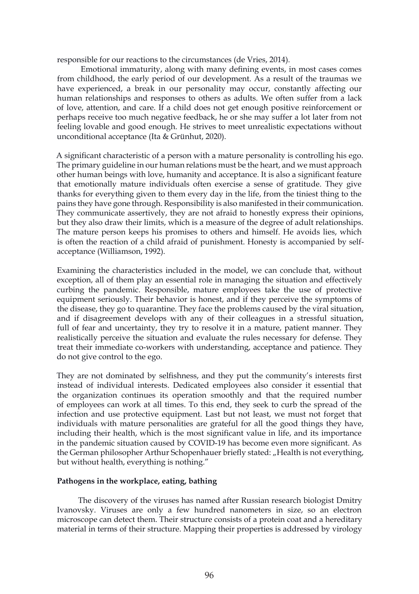responsible for our reactions to the circumstances (de Vries, 2014).

Emotional immaturity, along with many defining events, in most cases comes from childhood, the early period of our development. As a result of the traumas we have experienced, a break in our personality may occur, constantly affecting our human relationships and responses to others as adults. We often suffer from a lack of love, attention, and care. If a child does not get enough positive reinforcement or perhaps receive too much negative feedback, he or she may suffer a lot later from not feeling lovable and good enough. He strives to meet unrealistic expectations without unconditional acceptance (Ita & Grünhut, 2020).

A significant characteristic of a person with a mature personality is controlling his ego. The primary guideline in our human relations must be the heart, and we must approach other human beings with love, humanity and acceptance. It is also a significant feature that emotionally mature individuals often exercise a sense of gratitude. They give thanks for everything given to them every day in the life, from the tiniest thing to the pains they have gone through. Responsibility is also manifested in their communication. They communicate assertively, they are not afraid to honestly express their opinions, but they also draw their limits, which is a measure of the degree of adult relationships. The mature person keeps his promises to others and himself. He avoids lies, which is often the reaction of a child afraid of punishment. Honesty is accompanied by selfacceptance (Williamson, 1992).

Examining the characteristics included in the model, we can conclude that, without exception, all of them play an essential role in managing the situation and effectively curbing the pandemic. Responsible, mature employees take the use of protective equipment seriously. Their behavior is honest, and if they perceive the symptoms of the disease, they go to quarantine. They face the problems caused by the viral situation, and if disagreement develops with any of their colleagues in a stressful situation, full of fear and uncertainty, they try to resolve it in a mature, patient manner. They realistically perceive the situation and evaluate the rules necessary for defense. They treat their immediate co-workers with understanding, acceptance and patience. They do not give control to the ego.

They are not dominated by selfishness, and they put the community's interests first instead of individual interests. Dedicated employees also consider it essential that the organization continues its operation smoothly and that the required number of employees can work at all times. To this end, they seek to curb the spread of the infection and use protective equipment. Last but not least, we must not forget that individuals with mature personalities are grateful for all the good things they have, including their health, which is the most significant value in life, and its importance in the pandemic situation caused by COVID-19 has become even more significant. As the German philosopher Arthur Schopenhauer briefly stated: "Health is not everything, but without health, everything is nothing."

#### **Pathogens in the workplace, eating, bathing**

The discovery of the viruses has named after Russian research biologist Dmitry Ivanovsky. Viruses are only a few hundred nanometers in size, so an electron microscope can detect them. Their structure consists of a protein coat and a hereditary material in terms of their structure. Mapping their properties is addressed by virology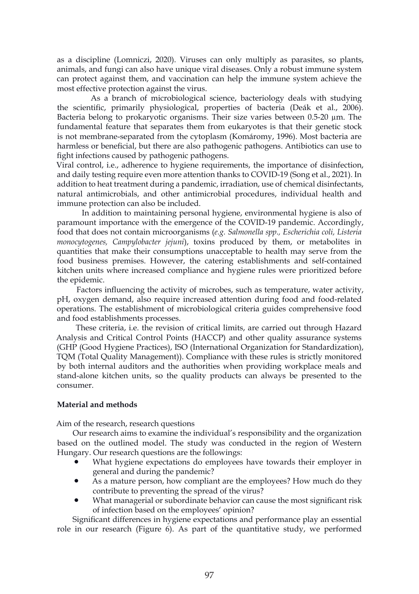as a discipline (Lomniczi, 2020). Viruses can only multiply as parasites, so plants, animals, and fungi can also have unique viral diseases. Only a robust immune system can protect against them, and vaccination can help the immune system achieve the most effective protection against the virus.

As a branch of microbiological science, bacteriology deals with studying the scientific, primarily physiological, properties of bacteria (Deák et al., 2006). Bacteria belong to prokaryotic organisms. Their size varies between  $0.5-20 \mu m$ . The fundamental feature that separates them from eukaryotes is that their genetic stock is not membrane-separated from the cytoplasm (Komáromy, 1996). Most bacteria are harmless or beneficial, but there are also pathogenic pathogens. Antibiotics can use to fight infections caused by pathogenic pathogens.

Viral control, i.e., adherence to hygiene requirements, the importance of disinfection, and daily testing require even more attention thanks to COVID-19 (Song et al., 2021). In addition to heat treatment during a pandemic, irradiation, use of chemical disinfectants, natural antimicrobials, and other antimicrobial procedures, individual health and immune protection can also be included.

 In addition to maintaining personal hygiene, environmental hygiene is also of paramount importance with the emergence of the COVID-19 pandemic. Accordingly, food that does not contain microorganisms (*e.g. Salmonella spp., Escherichia coli, Listeria monocytogenes, Campylobacter jejuni*), toxins produced by them, or metabolites in quantities that make their consumptions unacceptable to health may serve from the food business premises. However, the catering establishments and self-contained kitchen units where increased compliance and hygiene rules were prioritized before the epidemic.

 Factors influencing the activity of microbes, such as temperature, water activity, pH, oxygen demand, also require increased attention during food and food-related operations. The establishment of microbiological criteria guides comprehensive food and food establishments processes.

These criteria, i.e. the revision of critical limits, are carried out through Hazard Analysis and Critical Control Points (HACCP) and other quality assurance systems (GHP (Good Hygiene Practices), ISO (International Organization for Standardization), TQM (Total Quality Management)). Compliance with these rules is strictly monitored by both internal auditors and the authorities when providing workplace meals and stand-alone kitchen units, so the quality products can always be presented to the consumer.

### **Material and methods**

Aim of the research, research questions

 Our research aims to examine the individual's responsibility and the organization based on the outlined model. The study was conducted in the region of Western Hungary. Our research questions are the followings:

- What hygiene expectations do employees have towards their employer in general and during the pandemic?
- As a mature person, how compliant are the employees? How much do they contribute to preventing the spread of the virus?
- What managerial or subordinate behavior can cause the most significant risk of infection based on the employees' opinion?

Significant differences in hygiene expectations and performance play an essential role in our research (Figure 6). As part of the quantitative study, we performed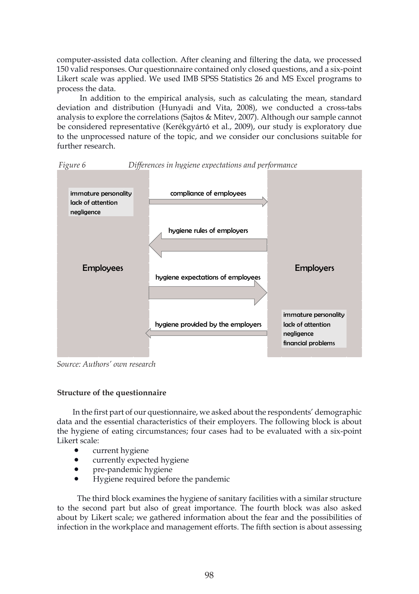computer-assisted data collection. After cleaning and filtering the data, we processed 150 valid responses. Our questionnaire contained only closed questions, and a six-point Likert scale was applied. We used IMB SPSS Statistics 26 and MS Excel programs to process the data.

In addition to the empirical analysis, such as calculating the mean, standard deviation and distribution (Hunyadi and Vita, 2008), we conducted a cross-tabs analysis to explore the correlations (Sajtos & Mitev, 2007). Although our sample cannot be considered representative (Kerékgyártó et al., 2009), our study is exploratory due to the unprocessed nature of the topic, and we consider our conclusions suitable for further research.



*Figure 6 Differences in hygiene expectations and performance*

*Source: Authors' own research*

### **Structure of the questionnaire**

 In the first part of our questionnaire, we asked about the respondents' demographic data and the essential characteristics of their employers. The following block is about the hygiene of eating circumstances; four cases had to be evaluated with a six-point Likert scale:

- current hygiene
- currently expected hygiene
- pre-pandemic hygiene
- Hygiene required before the pandemic

 The third block examines the hygiene of sanitary facilities with a similar structure to the second part but also of great importance. The fourth block was also asked about by Likert scale; we gathered information about the fear and the possibilities of infection in the workplace and management efforts. The fifth section is about assessing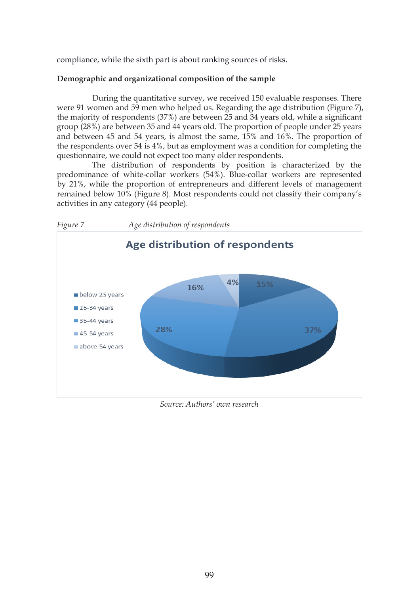compliance, while the sixth part is about ranking sources of risks.

## **Demographic and organizational composition of the sample**

During the quantitative survey, we received 150 evaluable responses. There were 91 women and 59 men who helped us. Regarding the age distribution (Figure 7), the majority of respondents (37%) are between 25 and 34 years old, while a significant group (28%) are between 35 and 44 years old. The proportion of people under 25 years and between 45 and 54 years, is almost the same, 15% and 16%. The proportion of the respondents over 54 is 4%, but as employment was a condition for completing the questionnaire, we could not expect too many older respondents.

The distribution of respondents by position is characterized by the predominance of white-collar workers (54%). Blue-collar workers are represented by 21%, while the proportion of entrepreneurs and different levels of management remained below 10% (Figure 8). Most respondents could not classify their company's activities in any category (44 people).



*Source: Authors' own research*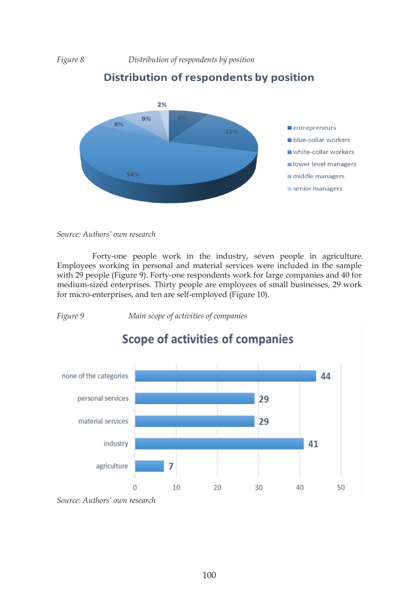*Figure 8 Distribution of respondents by position*



# Distribution of respondents by position

*Source: Authors' own research*

Forty-one people work in the industry, seven people in agriculture. Employees working in personal and material services were included in the sample with 29 people (Figure 9). Forty-one respondents work for large companies and 40 for medium-sized enterprises. Thirty people are employees of small businesses, 29 work for micro-enterprises, and ten are self-employed (Figure 10).

*Figure 9 Main scope of activities of companies*



*Source: Authors' own research*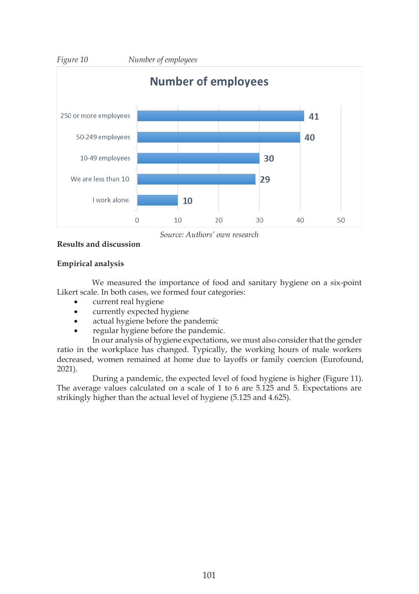

*Source: Authors' own research*

## **Results and discussion**

## **Empirical analysis**

We measured the importance of food and sanitary hygiene on a six-point Likert scale. In both cases, we formed four categories:

- • current real hygiene
- currently expected hygiene
- actual hygiene before the pandemic
- regular hygiene before the pandemic.

In our analysis of hygiene expectations, we must also consider that the gender ratio in the workplace has changed. Typically, the working hours of male workers decreased, women remained at home due to layoffs or family coercion (Eurofound, 2021).

During a pandemic, the expected level of food hygiene is higher (Figure 11). The average values calculated on a scale of 1 to 6 are 5.125 and 5. Expectations are strikingly higher than the actual level of hygiene (5.125 and 4.625).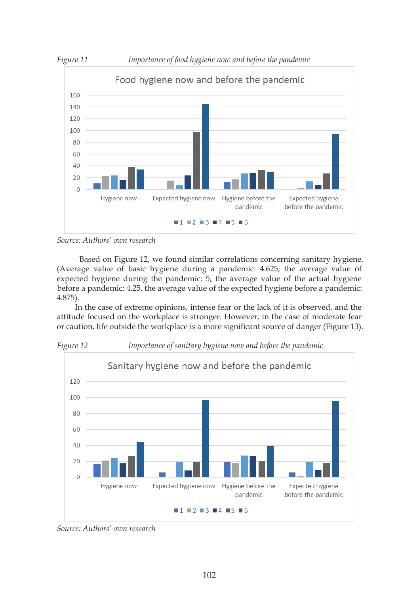

*Source: Authors' own research*

 Based on Figure 12, we found similar correlations concerning sanitary hygiene. (Average value of basic hygiene during a pandemic: 4.625; the average value of expected hygiene during the pandemic: 5, the average value of the actual hygiene before a pandemic: 4.25, the average value of the expected hygiene before a pandemic: 4.875).

 In the case of extreme opinions, intense fear or the lack of it is observed, and the attitude focused on the workplace is stronger. However, in the case of moderate fear or caution, life outside the workplace is a more significant source of danger (Figure 13).



*Source: Authors' own research*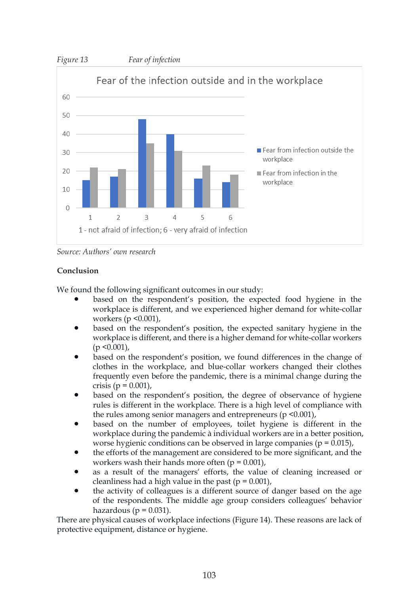

*Source: Authors' own research*

## **Conclusion**

We found the following significant outcomes in our study:

- based on the respondent's position, the expected food hygiene in the workplace is different, and we experienced higher demand for white-collar workers (p <0.001),
- based on the respondent's position, the expected sanitary hygiene in the workplace is different, and there is a higher demand for white-collar workers  $(p \le 0.001)$ ,
- based on the respondent's position, we found differences in the change of clothes in the workplace, and blue-collar workers changed their clothes frequently even before the pandemic, there is a minimal change during the crisis (p = 0.001),
- based on the respondent's position, the degree of observance of hygiene rules is different in the workplace. There is a high level of compliance with the rules among senior managers and entrepreneurs  $(p \le 0.001)$ ,
- based on the number of employees, toilet hygiene is different in the workplace during the pandemic à individual workers are in a better position, worse hygienic conditions can be observed in large companies ( $p = 0.015$ ),
- the efforts of the management are considered to be more significant, and the workers wash their hands more often  $(p = 0.001)$ ,
- as a result of the managers' efforts, the value of cleaning increased or cleanliness had a high value in the past ( $p = 0.001$ ),
- the activity of colleagues is a different source of danger based on the age of the respondents. The middle age group considers colleagues' behavior hazardous ( $p = 0.031$ ).

There are physical causes of workplace infections (Figure 14). These reasons are lack of protective equipment, distance or hygiene.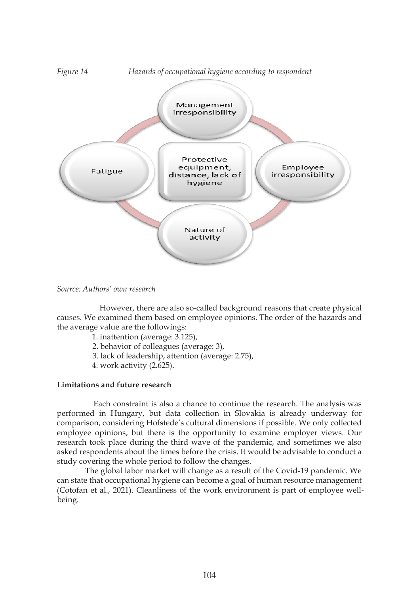

*Source: Authors' own research*

However, there are also so-called background reasons that create physical causes. We examined them based on employee opinions. The order of the hazards and the average value are the followings:

- 1. inattention (average: 3.125),
- 2. behavior of colleagues (average: 3),
- 3. lack of leadership, attention (average: 2.75),
- 4. work activity (2.625).

## **Limitations and future research**

 Each constraint is also a chance to continue the research. The analysis was performed in Hungary, but data collection in Slovakia is already underway for comparison, considering Hofstede's cultural dimensions if possible. We only collected employee opinions, but there is the opportunity to examine employer views. Our research took place during the third wave of the pandemic, and sometimes we also asked respondents about the times before the crisis. It would be advisable to conduct a study covering the whole period to follow the changes.

 The global labor market will change as a result of the Covid-19 pandemic. We can state that occupational hygiene can become a goal of human resource management (Cotofan et al., 2021). Cleanliness of the work environment is part of employee wellbeing.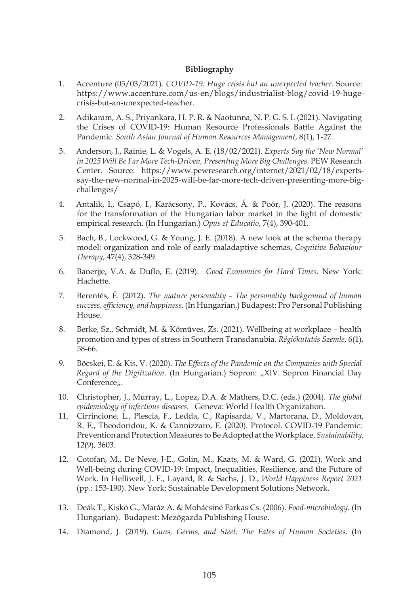#### **Bibliography**

- 1. Accenture (05/03/2021). *COVID-19: Huge crisis but an unexpected teacher.* Source: https://www.accenture.com/us-en/blogs/industrialist-blog/covid-19-hugecrisis-but-an-unexpected-teacher.
- 2. Adikaram, A. S., Priyankara, H. P. R. & Naotunna, N. P. G. S. I. (2021). Navigating the Crises of COVID-19: Human Resource Professionals Battle Against the Pandemic. *South Asian Journal of Human Resources Management*, 8(1), 1-27.
- 3. Anderson, J., Rainie, L. & Vogels, A. E. (18/02/2021). *Experts Say the 'New Normal' in 2025 Will Be Far More Tech-Driven, Presenting More Big Challenges.* PEW Research Center. Source: https://www.pewresearch.org/internet/2021/02/18/expertssay-the-new-normal-in-2025-will-be-far-more-tech-driven-presenting-more-bigchallenges/
- 4. Antalik, I., Csapó, I., Karácsony, P., Kovács, Á. & Poór, J. (2020). The reasons for the transformation of the Hungarian labor market in the light of domestic empirical research. (In Hungarian.) *Opus et Educatio*, 7(4), 390-401.
- 5. Bach, B., Lockwood, G. & Young, J. E. (2018). A new look at the schema therapy model: organization and role of early maladaptive schemas, *Cognitive Behaviour Therapy*, 47(4), 328-349.
- 6. Banerjje, V.A. & Duflo, E. (2019). *Good Economics for Hard Times*. New York: Hachette.
- 7. Berentés, É. (2012). *The mature personality The personality background of human success, efficiency, and happiness*. (In Hungarian.) Budapest: Pro Personal Publishing House.
- 8. Berke, Sz., Schmidt, M. & Kőműves, Zs. (2021). Wellbeing at workplace health promotion and types of stress in Southern Transdanubia. *Régiókutatás Szemle*, 6(1), 58-66.
- 9. Böcskei, E. & Kis, V. (2020). *The Effects of the Pandemic on the Companies with Special Regard of the Digitization.* (In Hungarian.) Sopron: "XIV. Sopron Financial Day Conference...
- 10. Christopher, J., Murray, L., Lopez, D.A. & Mathers, D.C. (eds.) (2004). *The global epidemiology of infectious diseases.* Geneva: World Health Organization.
- 11. Cirrincione, L., Plescia, F., Ledda, C., Rapisarda, V., Martorana, D., Moldovan, R. E., Theodoridou, K. & Cannizzaro, E. (2020). Protocol. COVID-19 Pandemic: Prevention and Protection Measures to Be Adopted at the Workplace. *Sustainability,* 12(9), 3603.
- 12. Cotofan, M., De Neve, J-E., Golin, M., Kaats, M. & Ward, G. (2021). Work and Well-being during COVID-19: Impact, Inequalities, Resilience, and the Future of Work. In Helliwell, J. F., Layard, R. & Sachs, J. D., *World Happiness Report 2021* (pp.: 153-190). New York: Sustainable Development Solutions Network.
- 13. Deák T., Kiskó G., Maráz A. & Mohácsiné Farkas Cs. (2006). *Food-microbiology.* (In Hungarian). Budapest: Mezőgazda Publishing House.
- 14. Diamond, J. (2019). *Guns, Germs, and Steel: The Fates of Human Societies*. (In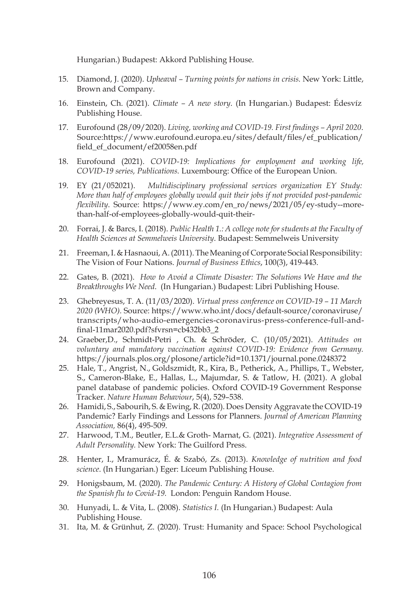Hungarian.) Budapest: Akkord Publishing House.

- 15. Diamond, J. (2020). *Upheaval Turning points for nations in crisis.* New York: Little, Brown and Company.
- 16. Einstein, Ch. (2021). *Climate A new story*. (In Hungarian.) Budapest: Édesvíz Publishing House.
- 17. Eurofound (28/09/2020). *Living, working and COVID-19. First findings April 2020*. Source:https://www.eurofound.europa.eu/sites/default/files/ef\_publication/ field\_ef\_document/ef20058en.pdf
- 18. Eurofound (2021). *COVID-19: Implications for employment and working life, COVID-19 series, Publications.* Luxembourg: Office of the European Union.
- 19. EY (21/052021). *Multidisciplinary professional services organization EY Study: More than half of employees globally would quit their jobs if not provided post-pandemic flexibility*. Source: https://www.ey.com/en\_ro/news/2021/05/ey-study--morethan-half-of-employees-globally-would-quit-their-
- 20. Forrai, J. & Barcs, I. (2018). *Public Health 1.: A college note for students at the Faculty of Health Sciences at Semmelweis University*. Budapest: Semmelweis University
- 21. Freeman, I. & Hasnaoui, A. (2011). The Meaning of Corporate Social Responsibility: The Vision of Four Nations. *Journal of Business Ethics*, 100(3), 419-443.
- 22. Gates, B. (2021). *How to Avoid a Climate Disaster: The Solutions We Have and the Breakthroughs We Need*. (In Hungarian.) Budapest: Libri Publishing House.
- 23. Ghebreyesus, T. A. (11/03/2020). *Virtual press conference on COVID-19 11 March 2020 (WHO).* Source: https://www.who.int/docs/default-source/coronaviruse/ transcripts/who-audio-emergencies-coronavirus-press-conference-full-andfinal-11mar2020.pdf?sfvrsn=cb432bb3\_2
- 24. Graeber,D., Schmidt-Petri , Ch. & Schröder, C. (10/05/2021). *Attitudes on voluntary and mandatory vaccination against COVID-19: Evidence from Germany.* https://journals.plos.org/plosone/article?id=10.1371/journal.pone.0248372
- 25. Hale, T., Angrist, N., Goldszmidt, R., Kira, B., Petherick, A., Phillips, T., Webster, S., Cameron-Blake, E., Hallas, L., Majumdar, S. & Tatlow, H. (2021). A global panel database of pandemic policies. Oxford COVID-19 Government Response Tracker. *Nature Human Behaviour*, 5(4), 529–538.
- 26. Hamidi, S., Sabourih, S. & Ewing, R. (2020). Does Density Aggravate the COVID-19 Pandemic? Early Findings and Lessons for Planners. *Journal of American Planning Association,* 86(4), 495-509.
- 27. Harwood, T.M., Beutler, E.L.& Groth- Marnat, G. (2021). *Integrative Assessment of Adult Personality.* New York: The Guilford Press.
- 28. Henter, I., Mramurácz, É. & Szabó, Zs. (2013). *Knowledge of nutrition and food science*. (In Hungarian.) Eger: Líceum Publishing House.
- 29. Honigsbaum, M. (2020). *The Pandemic Century: A History of Global Contagion from the Spanish flu to Covid-19.* London: Penguin Random House.
- 30. Hunyadi, L. & Vita, L. (2008). *Statistics I.* (In Hungarian.) Budapest: Aula Publishing House.
- 31. Ita, M. & Grünhut, Z. (2020). Trust: Humanity and Space: School Psychological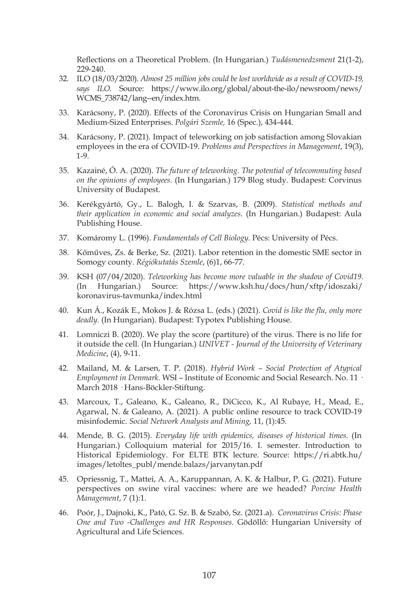Reflections on a Theoretical Problem. (In Hungarian.) *Tudásmenedzsment* 21(1-2), 229-240

- 32. ILO (18/03/2020). *Almost 25 million jobs could be lost worldwide as a result of COVID-19, says ILO.* Source: https://www.ilo.org/global/about-the-ilo/newsroom/news/ WCMS\_738742/lang--en/index.htm.
- 33. Karácsony, P. (2020). Effects of the Coronavirus Crisis on Hungarian Small and Medium-Sized Enterprises. *Polgári Szemle,* 16 (Spec.), 434-444.
- 34. Karácsony, P. (2021). Impact of teleworking on job satisfaction among Slovakian employees in the era of COVID-19. *Problems and Perspectives in Management*, 19(3), 1-9.
- 35. Kazainé, Ó. A. (2020). *The future of teleworking. The potential of telecommuting based on the opinions of employees.* (In Hungarian.) 179 Blog study*.* Budapest: Corvinus University of Budapest.
- 36. Kerékgyártó, Gy., L. Balogh, I. & Szarvas, B. (2009). *Statistical methods and their application in economic and social analyzes*. (In Hungarian.) Budapest: Aula Publishing House.
- 37. Komáromy L. (1996). *Fundamentals of Cell Biology.* Pécs: University of Pécs.
- 38. Kőműves, Zs. & Berke, Sz. (2021). Labor retention in the domestic SME sector in Somogy county. *Régiókutatás Szemle*, (6)1, 66-77.
- 39. KSH (07/04/2020). *Teleworking has become more valuable in the shadow of Covid19.* (In Hungarian.) Source: https://www.ksh.hu/docs/hun/xftp/idoszaki/ koronavirus-tavmunka/index.html
- 40. Kun Á., Kozák E., Mokos J. & Rózsa L. (eds.) (2021). *Covid is like the flu, only more deadly.* (In Hungarian). Budapest: Typotex Publishing House.
- 41. Lomniczi B. (2020). We play the score (partiture) of the virus. There is no life for it outside the cell. (In Hungarian.) *UNIVET - Journal of the University of Veterinary Medicine*, (4), 9-11.
- 42. Mailand, M. & Larsen, T. P. (2018). *Hybrid Work Social Protection of Atypical Employment in Denmark.* WSI – Institute of Economic and Social Research. No. 11 · March 2018 · Hans-Böckler-Stiftung.
- 43. Marcoux, T., Galeano, K., Galeano, R., DiCicco, K., Al Rubaye, H., Mead, E., Agarwal, N. & Galeano, A. (2021). A public online resource to track COVID-19 misinfodemic. *Social Network Analysis and Mining,* 11, (1):45.
- 44. Mende, B. G. (2015). *Everyday life with epidemics, diseases of historical times.* (In Hungarian.) Colloquium material for 2015/16. I. semester. Introduction to Historical Epidemiology. For ELTE BTK lecture. Source: https://ri.abtk.hu/ images/letoltes\_publ/mende.balazs/jarvanytan.pdf
- 45. Opriessnig, T., Mattei, A. A., Karuppannan, A. K. & Halbur, P. G. (2021). Future perspectives on swine viral vaccines: where are we headed? *Porcine Health Management*, 7 (1):1.
- 46. Poór, J., Dajnoki, K., Pató, G. Sz. B. & Szabó, Sz. (2021.a). *Coronavirus Crisis: Phase One and Two -Challenges and HR Responses.* Gödöllő: Hungarian University of Agricultural and Life Sciences.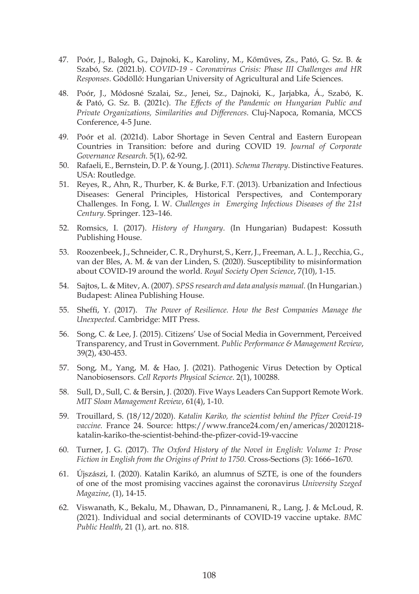- 47. Poór, J., Balogh, G., Dajnoki, K., Karoliny, M., Kőműves, Zs., Pató, G. Sz. B. & Szabó, Sz. (2021.b). C*OVID-19 - Coronavirus Crisis: Phase III Challenges and HR Responses.* Gödöllő: Hungarian University of Agricultural and Life Sciences.
- 48. Poór, J., Módosné Szalai, Sz., Jenei, Sz., Dajnoki, K., Jarjabka, Á., Szabó, K. & Pató, G. Sz. B. (2021c). *The Effects of the Pandemic on Hungarian Public and Private Organizations, Similarities and Differences*. Cluj-Napoca, Romania, MCCS Conference, 4-5 June.
- 49. Poór et al. (2021d). Labor Shortage in Seven Central and Eastern European Countries in Transition: before and during COVID 19. *Journal of Corporate Governance Research*. 5(1), 62-92.
- 50. Rafaeli, E., Bernstein, D. P. & Young, J. (2011). *Schema Therapy*. Distinctive Features. USA: Routledge.
- 51. Reyes, R., Ahn, R., Thurber, K. & Burke, F.T. (2013). Urbanization and Infectious Diseases: General Principles, Historical Perspectives, and Contemporary Challenges. In Fong, I. W. *Challenges in Emerging Infectious Diseases of the 21st Century*. Springer. 123–146.
- 52. Romsics, I. (2017). *History of Hungary*. (In Hungarian) Budapest: Kossuth Publishing House.
- 53. Roozenbeek, J., Schneider, C. R., Dryhurst, S., Kerr, J., Freeman, A. L. J., Recchia, G., van der Bles, A. M. & van der Linden, S. (2020). Susceptibility to misinformation about COVID-19 around the world. *Royal Society Open Science*, 7(10), 1-15.
- 54. Sajtos, L. & Mitev, A. (2007). *SPSS research and data analysis manual.* (In Hungarian.) Budapest: Alinea Publishing House.
- 55. Sheffi, Y. (2017). *The Power of Resilience. How the Best Companies Manage the Unexpected*. Cambridge: MIT Press.
- 56. Song, C. & Lee, J. (2015). Citizens' Use of Social Media in Government, Perceived Transparency, and Trust in Government. *Public Performance & Management Review*, 39(2), 430-453.
- 57. Song, M., Yang, M. & Hao, J. (2021). Pathogenic Virus Detection by Optical Nanobiosensors. *Cell Reports Physical Science*. 2(1), 100288.
- 58. Sull, D., Sull, C. & Bersin, J. (2020). Five Ways Leaders Can Support Remote Work. *MIT Sloan Management Review*, 61(4), 1-10.
- 59. Trouillard, S. (18/12/2020). *Katalin Kariko, the scientist behind the Pfizer Covid-19 vaccine.* France 24. Source: https://www.france24.com/en/americas/20201218 katalin-kariko-the-scientist-behind-the-pfizer-covid-19-vaccine
- 60. Turner, J. G. (2017). *The Oxford History of the Novel in English: Volume 1: Prose Fiction in English from the Origins of Print to 1750.* Cross-Sections (3): 1666–1670.
- 61. Újszászi, I. (2020). Katalin Karikó, an alumnus of SZTE, is one of the founders of one of the most promising vaccines against the coronavirus *University Szeged Magazine*, (1), 14-15.
- 62. Viswanath, K., Bekalu, M., Dhawan, D., Pinnamaneni, R., Lang, J. & McLoud, R. (2021). Individual and social determinants of COVID-19 vaccine uptake. *BMC Public Health*, 21 (1), art. no. 818.